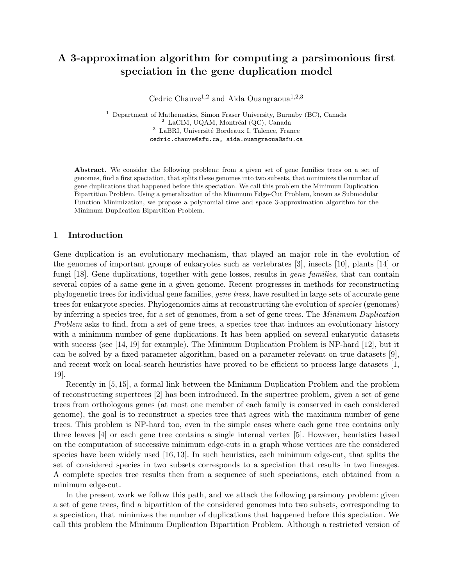# A 3-approximation algorithm for computing a parsimonious first speciation in the gene duplication model

Cedric Chauve<sup>1,2</sup> and Aida Ouangraoua<sup>1,2,3</sup>

<sup>1</sup> Department of Mathematics, Simon Fraser University, Burnaby (BC), Canada  $2$  LaCIM, UQAM, Montréal (QC), Canada <sup>3</sup> LaBRI, Université Bordeaux I, Talence, France cedric.chauve@sfu.ca, aida.ouangraoua@sfu.ca

Abstract. We consider the following problem: from a given set of gene families trees on a set of genomes, find a first speciation, that splits these genomes into two subsets, that minimizes the number of gene duplications that happened before this speciation. We call this problem the Minimum Duplication Bipartition Problem. Using a generalization of the Minimum Edge-Cut Problem, known as Submodular Function Minimization, we propose a polynomial time and space 3-approximation algorithm for the Minimum Duplication Bipartition Problem.

## 1 Introduction

Gene duplication is an evolutionary mechanism, that played an major role in the evolution of the genomes of important groups of eukaryotes such as vertebrates [3], insects [10], plants [14] or fungi [18]. Gene duplications, together with gene losses, results in *gene families*, that can contain several copies of a same gene in a given genome. Recent progresses in methods for reconstructing phylogenetic trees for individual gene families, gene trees, have resulted in large sets of accurate gene trees for eukaryote species. Phylogenomics aims at reconstructing the evolution of species (genomes) by inferring a species tree, for a set of genomes, from a set of gene trees. The Minimum Duplication Problem asks to find, from a set of gene trees, a species tree that induces an evolutionary history with a minimum number of gene duplications. It has been applied on several eukaryotic datasets with success (see [14, 19] for example). The Minimum Duplication Problem is NP-hard [12], but it can be solved by a fixed-parameter algorithm, based on a parameter relevant on true datasets [9], and recent work on local-search heuristics have proved to be efficient to process large datasets [1, 19].

Recently in [5, 15], a formal link between the Minimum Duplication Problem and the problem of reconstructing supertrees [2] has been introduced. In the supertree problem, given a set of gene trees from orthologous genes (at most one member of each family is conserved in each considered genome), the goal is to reconstruct a species tree that agrees with the maximum number of gene trees. This problem is NP-hard too, even in the simple cases where each gene tree contains only three leaves [4] or each gene tree contains a single internal vertex [5]. However, heuristics based on the computation of successive minimum edge-cuts in a graph whose vertices are the considered species have been widely used [16, 13]. In such heuristics, each minimum edge-cut, that splits the set of considered species in two subsets corresponds to a speciation that results in two lineages. A complete species tree results then from a sequence of such speciations, each obtained from a minimum edge-cut.

In the present work we follow this path, and we attack the following parsimony problem: given a set of gene trees, find a bipartition of the considered genomes into two subsets, corresponding to a speciation, that minimizes the number of duplications that happened before this speciation. We call this problem the Minimum Duplication Bipartition Problem. Although a restricted version of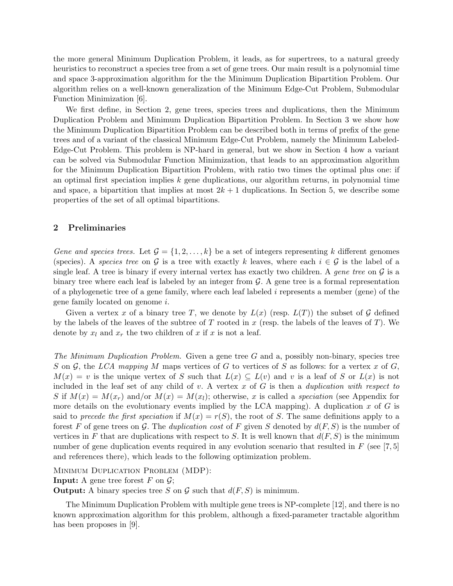the more general Minimum Duplication Problem, it leads, as for supertrees, to a natural greedy heuristics to reconstruct a species tree from a set of gene trees. Our main result is a polynomial time and space 3-approximation algorithm for the the Minimum Duplication Bipartition Problem. Our algorithm relies on a well-known generalization of the Minimum Edge-Cut Problem, Submodular Function Minimization [6].

We first define, in Section 2, gene trees, species trees and duplications, then the Minimum Duplication Problem and Minimum Duplication Bipartition Problem. In Section 3 we show how the Minimum Duplication Bipartition Problem can be described both in terms of prefix of the gene trees and of a variant of the classical Minimum Edge-Cut Problem, namely the Minimum Labeled-Edge-Cut Problem. This problem is NP-hard in general, but we show in Section 4 how a variant can be solved via Submodular Function Minimization, that leads to an approximation algorithm for the Minimum Duplication Bipartition Problem, with ratio two times the optimal plus one: if an optimal first speciation implies  $k$  gene duplications, our algorithm returns, in polynomial time and space, a bipartition that implies at most  $2k + 1$  duplications. In Section 5, we describe some properties of the set of all optimal bipartitions.

# 2 Preliminaries

Gene and species trees. Let  $\mathcal{G} = \{1, 2, ..., k\}$  be a set of integers representing k different genomes (species). A species tree on G is a tree with exactly k leaves, where each  $i \in \mathcal{G}$  is the label of a single leaf. A tree is binary if every internal vertex has exactly two children. A gene tree on  $\mathcal G$  is a binary tree where each leaf is labeled by an integer from  $\mathcal{G}$ . A gene tree is a formal representation of a phylogenetic tree of a gene family, where each leaf labeled i represents a member (gene) of the gene family located on genome i.

Given a vertex x of a binary tree T, we denote by  $L(x)$  (resp.  $L(T)$ ) the subset of G defined by the labels of the leaves of the subtree of T rooted in x (resp. the labels of the leaves of T). We denote by  $x_l$  and  $x_r$  the two children of x if x is not a leaf.

The Minimum Duplication Problem. Given a gene tree G and a, possibly non-binary, species tree S on  $\mathcal G$ , the LCA mapping M maps vertices of G to vertices of S as follows: for a vertex x of G,  $M(x) = v$  is the unique vertex of S such that  $L(x) \subseteq L(v)$  and v is a leaf of S or  $L(x)$  is not included in the leaf set of any child of  $v$ . A vertex  $x$  of  $G$  is then a *duplication with respect to* S if  $M(x) = M(x_r)$  and/or  $M(x) = M(x_l)$ ; otherwise, x is called a speciation (see Appendix for more details on the evolutionary events implied by the LCA mapping). A duplication  $x$  of  $G$  is said to precede the first speciation if  $M(x) = r(S)$ , the root of S. The same definitions apply to a forest F of gene trees on G. The duplication cost of F given S denoted by  $d(F, S)$  is the number of vertices in F that are duplications with respect to S. It is well known that  $d(F, S)$  is the minimum number of gene duplication events required in any evolution scenario that resulted in  $F$  (see [7, 5] and references there), which leads to the following optimization problem.

MINIMUM DUPLICATION PROBLEM (MDP):

**Input:** A gene tree forest F on  $\mathcal{G}$ ;

**Output:** A binary species tree S on G such that  $d(F, S)$  is minimum.

The Minimum Duplication Problem with multiple gene trees is NP-complete [12], and there is no known approximation algorithm for this problem, although a fixed-parameter tractable algorithm has been proposes in [9].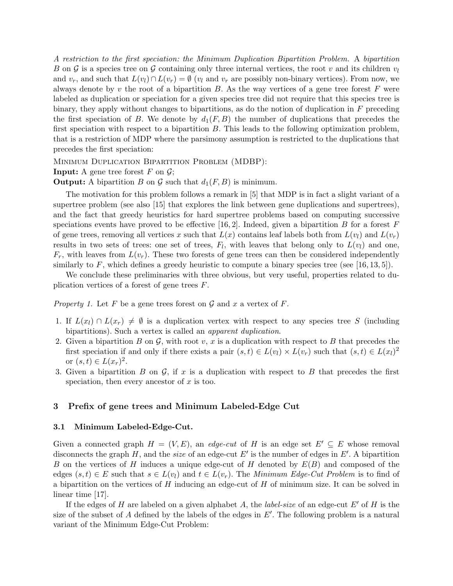A restriction to the first speciation: the Minimum Duplication Bipartition Problem. A bipartition B on G is a species tree on G containing only three internal vertices, the root v and its children  $v_l$ and  $v_r$ , and such that  $L(v_l) \cap L(v_r) = \emptyset$  ( $v_l$  and  $v_r$  are possibly non-binary vertices). From now, we always denote by  $v$  the root of a bipartition  $B$ . As the way vertices of a gene tree forest  $F$  were labeled as duplication or speciation for a given species tree did not require that this species tree is binary, they apply without changes to bipartitions, as do the notion of duplication in  $F$  preceding the first speciation of B. We denote by  $d_1(F, B)$  the number of duplications that precedes the first speciation with respect to a bipartition B. This leads to the following optimization problem, that is a restriction of MDP where the parsimony assumption is restricted to the duplications that precedes the first speciation:

Minimum Duplication Bipartition Problem (MDBP):

**Input:** A gene tree forest  $F$  on  $\mathcal{G}$ ;

**Output:** A bipartition B on G such that  $d_1(F, B)$  is minimum.

The motivation for this problem follows a remark in [5] that MDP is in fact a slight variant of a supertree problem (see also [15] that explores the link between gene duplications and supertrees), and the fact that greedy heuristics for hard supertree problems based on computing successive speciations events have proved to be effective [16, 2]. Indeed, given a bipartition B for a forest F of gene trees, removing all vertices x such that  $L(x)$  contains leaf labels both from  $L(v_l)$  and  $L(v_r)$ results in two sets of trees: one set of trees,  $F_l$ , with leaves that belong only to  $L(v_l)$  and one,  $F_r$ , with leaves from  $L(v_r)$ . These two forests of gene trees can then be considered independently similarly to F, which defines a greedy heuristic to compute a binary species tree (see [16, 13, 5]).

We conclude these preliminaries with three obvious, but very useful, properties related to duplication vertices of a forest of gene trees F.

*Property 1.* Let F be a gene trees forest on G and x a vertex of F.

- 1. If  $L(x_l) \cap L(x_r) \neq \emptyset$  is a duplication vertex with respect to any species tree S (including bipartitions). Such a vertex is called an apparent duplication.
- 2. Given a bipartition B on  $\mathcal{G}$ , with root v, x is a duplication with respect to B that precedes the first speciation if and only if there exists a pair  $(s,t) \in L(v_l) \times L(v_r)$  such that  $(s,t) \in L(x_l)^2$ or  $(s, t) \in L(x_r)^2$ .
- 3. Given a bipartition  $B$  on  $\mathcal{G}$ , if  $x$  is a duplication with respect to  $B$  that precedes the first speciation, then every ancestor of  $x$  is too.

## 3 Prefix of gene trees and Minimum Labeled-Edge Cut

### 3.1 Minimum Labeled-Edge-Cut.

Given a connected graph  $H = (V, E)$ , an edge-cut of H is an edge set  $E' \subseteq E$  whose removal disconnects the graph H, and the *size* of an edge-cut  $E'$  is the number of edges in  $E'$ . A bipartition B on the vertices of H induces a unique edge-cut of H denoted by  $E(B)$  and composed of the edges  $(s, t) \in E$  such that  $s \in L(v_l)$  and  $t \in L(v_r)$ . The *Minimum Edge-Cut Problem* is to find of a bipartition on the vertices of  $H$  inducing an edge-cut of  $H$  of minimum size. It can be solved in linear time [17].

If the edges of H are labeled on a given alphabet A, the *label-size* of an edge-cut E' of H is the size of the subset of  $A$  defined by the labels of the edges in  $E'$ . The following problem is a natural variant of the Minimum Edge-Cut Problem: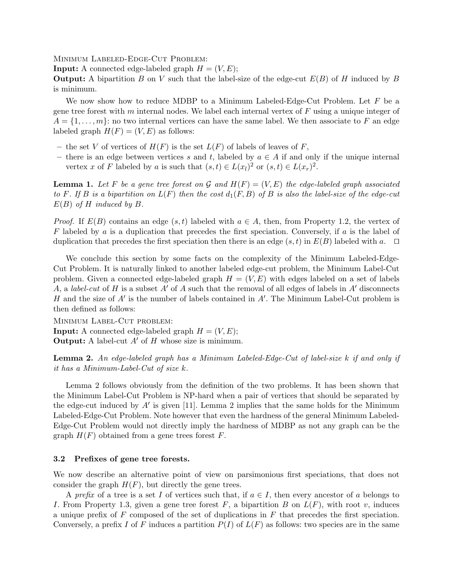Minimum Labeled-Edge-Cut Problem:

**Input:** A connected edge-labeled graph  $H = (V, E);$ 

**Output:** A bipartition B on V such that the label-size of the edge-cut  $E(B)$  of H induced by B is minimum.

We now show how to reduce MDBP to a Minimum Labeled-Edge-Cut Problem. Let  $F$  be a gene tree forest with m internal nodes. We label each internal vertex of  $F$  using a unique integer of  $A = \{1, \ldots, m\}$ : no two internal vertices can have the same label. We then associate to F an edge labeled graph  $H(F) = (V, E)$  as follows:

- the set V of vertices of  $H(F)$  is the set  $L(F)$  of labels of leaves of F,
- there is an edge between vertices s and t, labeled by  $a \in A$  if and only if the unique internal vertex x of F labeled by a is such that  $(s,t) \in L(x_l)^2$  or  $(s,t) \in L(x_r)^2$ .

**Lemma 1.** Let F be a gene tree forest on G and  $H(F) = (V, E)$  the edge-labeled graph associated to F. If B is a bipartition on  $L(F)$  then the cost  $d_1(F, B)$  of B is also the label-size of the edge-cut  $E(B)$  of H induced by B.

*Proof.* If  $E(B)$  contains an edge  $(s, t)$  labeled with  $a \in A$ , then, from Property 1.2, the vertex of  $F$  labeled by a is a duplication that precedes the first speciation. Conversely, if a is the label of duplication that precedes the first speciation then there is an edge  $(s, t)$  in  $E(B)$  labeled with a.  $\Box$ 

We conclude this section by some facts on the complexity of the Minimum Labeled-Edge-Cut Problem. It is naturally linked to another labeled edge-cut problem, the Minimum Label-Cut problem. Given a connected edge-labeled graph  $H = (V, E)$  with edges labeled on a set of labels A, a label-cut of H is a subset A' of A such that the removal of all edges of labels in A' disconnects H and the size of  $A'$  is the number of labels contained in  $A'$ . The Minimum Label-Cut problem is then defined as follows:

Minimum Label-Cut problem: **Input:** A connected edge-labeled graph  $H = (V, E)$ ; **Output:** A label-cut  $A'$  of  $H$  whose size is minimum.

Lemma 2. An edge-labeled graph has a Minimum Labeled-Edge-Cut of label-size k if and only if it has a Minimum-Label-Cut of size k.

Lemma 2 follows obviously from the definition of the two problems. It has been shown that the Minimum Label-Cut Problem is NP-hard when a pair of vertices that should be separated by the edge-cut induced by  $A'$  is given [11]. Lemma 2 implies that the same holds for the Minimum Labeled-Edge-Cut Problem. Note however that even the hardness of the general Minimum Labeled-Edge-Cut Problem would not directly imply the hardness of MDBP as not any graph can be the graph  $H(F)$  obtained from a gene trees forest F.

## 3.2 Prefixes of gene tree forests.

We now describe an alternative point of view on parsimonious first speciations, that does not consider the graph  $H(F)$ , but directly the gene trees.

A prefix of a tree is a set I of vertices such that, if  $a \in I$ , then every ancestor of a belongs to I. From Property 1.3, given a gene tree forest F, a bipartition B on  $L(F)$ , with root v, induces a unique prefix of  $F$  composed of the set of duplications in  $F$  that precedes the first speciation. Conversely, a prefix I of F induces a partition  $P(I)$  of  $L(F)$  as follows: two species are in the same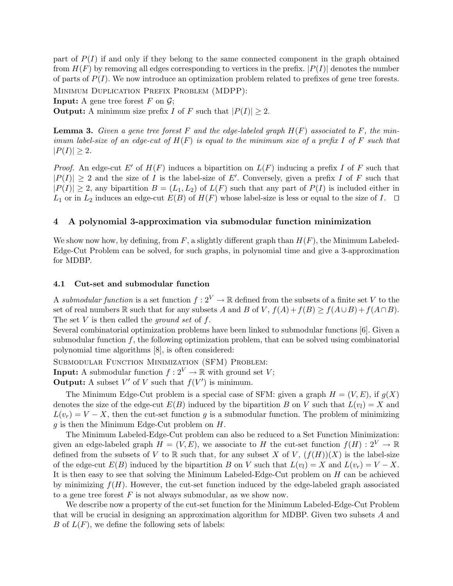part of  $P(I)$  if and only if they belong to the same connected component in the graph obtained from  $H(F)$  by removing all edges corresponding to vertices in the prefix.  $|P(I)|$  denotes the number of parts of  $P(I)$ . We now introduce an optimization problem related to prefixes of gene tree forests.

Minimum Duplication Prefix Problem (MDPP):

**Input:** A gene tree forest  $F$  on  $\mathcal{G}$ ;

**Output:** A minimum size prefix I of F such that  $|P(I)| \geq 2$ .

**Lemma 3.** Given a gene tree forest F and the edge-labeled graph  $H(F)$  associated to F, the minimum label-size of an edge-cut of  $H(F)$  is equal to the minimum size of a prefix I of F such that  $|P(I)| \geq 2.$ 

*Proof.* An edge-cut E' of  $H(F)$  induces a bipartition on  $L(F)$  inducing a prefix I of F such that  $|P(I)| \geq 2$  and the size of I is the label-size of E'. Conversely, given a prefix I of F such that  $|P(I)| \geq 2$ , any bipartition  $B = (L_1, L_2)$  of  $L(F)$  such that any part of  $P(I)$  is included either in  $L_1$  or in  $L_2$  induces an edge-cut  $E(B)$  of  $H(F)$  whose label-size is less or equal to the size of I.  $\Box$ 

## 4 A polynomial 3-approximation via submodular function minimization

We show now how, by defining, from  $F$ , a slightly different graph than  $H(F)$ , the Minimum Labeled-Edge-Cut Problem can be solved, for such graphs, in polynomial time and give a 3-approximation for MDBP.

#### 4.1 Cut-set and submodular function

A submodular function is a set function  $f: 2^V \to \mathbb{R}$  defined from the subsets of a finite set V to the set of real numbers R such that for any subsets A and B of V,  $f(A) + f(B) > f(A \cup B) + f(A \cap B)$ . The set V is then called the *ground set* of  $f$ .

Several combinatorial optimization problems have been linked to submodular functions [6]. Given a submodular function  $f$ , the following optimization problem, that can be solved using combinatorial polynomial time algorithms [8], is often considered:

Submodular Function Minimization (SFM) Problem:

**Input:** A submodular function  $f: 2^V \to \mathbb{R}$  with ground set V;

**Output:** A subset  $V'$  of V such that  $f(V')$  is minimum.

The Minimum Edge-Cut problem is a special case of SFM: given a graph  $H = (V, E)$ , if  $g(X)$ denotes the size of the edge-cut  $E(B)$  induced by the bipartition B on V such that  $L(v_l) = X$  and  $L(v_r) = V - X$ , then the cut-set function g is a submodular function. The problem of minimizing g is then the Minimum Edge-Cut problem on H.

The Minimum Labeled-Edge-Cut problem can also be reduced to a Set Function Minimization: given an edge-labeled graph  $H = (V, E)$ , we associate to H the cut-set function  $f(H) : 2^V \to \mathbb{R}$ defined from the subsets of V to R such that, for any subset X of V,  $(f(H))(X)$  is the label-size of the edge-cut  $E(B)$  induced by the bipartition B on V such that  $L(v_l) = X$  and  $L(v_r) = V - X$ . It is then easy to see that solving the Minimum Labeled-Edge-Cut problem on H can be achieved by minimizing  $f(H)$ . However, the cut-set function induced by the edge-labeled graph associated to a gene tree forest  $F$  is not always submodular, as we show now.

We describe now a property of the cut-set function for the Minimum Labeled-Edge-Cut Problem that will be crucial in designing an approximation algorithm for MDBP. Given two subsets A and B of  $L(F)$ , we define the following sets of labels: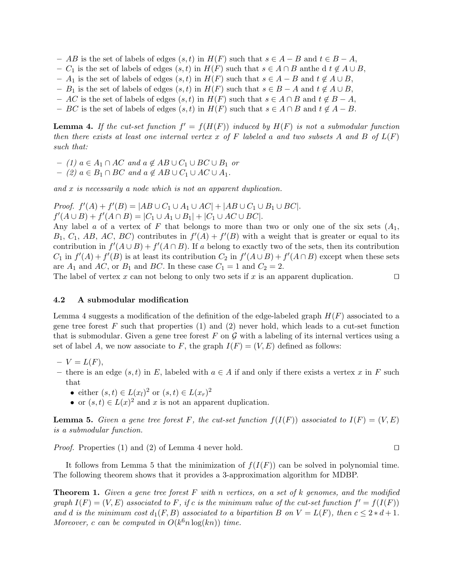- AB is the set of labels of edges  $(s, t)$  in  $H(F)$  such that  $s \in A B$  and  $t \in B A$ ,
- $C_1$  is the set of labels of edges  $(s, t)$  in  $H(F)$  such that  $s \in A \cap B$  anthe d  $t \notin A \cup B$ ,
- $-A_1$  is the set of labels of edges  $(s, t)$  in  $H(F)$  such that  $s \in A B$  and  $t \notin A \cup B$ ,
- $B_1$  is the set of labels of edges  $(s, t)$  in  $H(F)$  such that  $s \in B A$  and  $t \notin A \cup B$ ,
- AC is the set of labels of edges  $(s, t)$  in  $H(F)$  such that  $s \in A \cap B$  and  $t \notin B A$ ,
- BC is the set of labels of edges  $(s, t)$  in  $H(F)$  such that  $s \in A \cap B$  and  $t \notin A B$ .

**Lemma 4.** If the cut-set function  $f' = f(H(F))$  induced by  $H(F)$  is not a submodular function then there exists at least one internal vertex x of F labeled a and two subsets A and B of  $L(F)$ such that:

- (1)  $a \in A_1 \cap AC$  and  $a \notin AB \cup C_1 \cup BC \cup B_1$  or
- (2)  $a \in B_1 \cap BC$  and  $a \notin AB \cup C_1 \cup AC \cup A_1$ .

and x is necessarily a node which is not an apparent duplication.

*Proof.*  $f'(A) + f'(B) = |AB \cup C_1 \cup A_1 \cup AC| + |AB \cup C_1 \cup B_1 \cup BC|$ .  $f'(A \cup B) + f'(A \cap B) = |C_1 \cup A_1 \cup B_1| + |C_1 \cup AC \cup BC|.$ 

Any label a of a vertex of F that belongs to more than two or only one of the six sets  $(A_1, A_2)$  $B_1, C_1, AB, AC, BC$  contributes in  $f'(A) + f'(B)$  with a weight that is greater or equal to its contribution in  $f'(A \cup B) + f'(A \cap B)$ . If a belong to exactly two of the sets, then its contribution  $C_1$  in  $f'(A) + f'(B)$  is at least its contribution  $C_2$  in  $f'(A \cup B) + f'(A \cap B)$  except when these sets are  $A_1$  and  $AC$ , or  $B_1$  and  $BC$ . In these case  $C_1 = 1$  and  $C_2 = 2$ .

The label of vertex x can not belong to only two sets if x is an apparent duplication.  $\square$ 

#### 4.2 A submodular modification

Lemma 4 suggests a modification of the definition of the edge-labeled graph  $H(F)$  associated to a gene tree forest  $F$  such that properties (1) and (2) never hold, which leads to a cut-set function that is submodular. Given a gene tree forest  $F$  on  $\mathcal G$  with a labeling of its internal vertices using a set of label A, we now associate to F, the graph  $I(F) = (V, E)$  defined as follows:

- $-V = L(F),$
- there is an edge  $(s, t)$  in E, labeled with  $a \in A$  if and only if there exists a vertex x in F such that
	- either  $(s,t) \in L(x_l)^2$  or  $(s,t) \in L(x_r)^2$
	- or  $(s,t) \in L(x)^2$  and x is not an apparent duplication.

**Lemma 5.** Given a gene tree forest F, the cut-set function  $f(I(F))$  associated to  $I(F) = (V, E)$ is a submodular function.

*Proof.* Properties (1) and (2) of Lemma 4 never hold.  $\square$ 

It follows from Lemma 5 that the minimization of  $f(I(F))$  can be solved in polynomial time. The following theorem shows that it provides a 3-approximation algorithm for MDBP.

**Theorem 1.** Given a gene tree forest F with n vertices, on a set of k genomes, and the modified graph  $I(F) = (V, E)$  associated to F, if c is the minimum value of the cut-set function  $f' = f(I(F))$ and d is the minimum cost  $d_1(F, B)$  associated to a bipartition B on  $V = L(F)$ , then  $c \leq 2 * d + 1$ . Moreover, c can be computed in  $O(k^6 n \log(kn))$  time.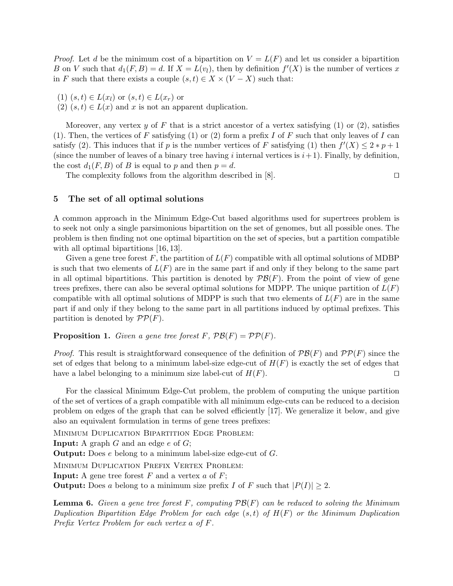*Proof.* Let d be the minimum cost of a bipartition on  $V = L(F)$  and let us consider a bipartition B on V such that  $d_1(F, B) = d$ . If  $X = L(v_l)$ , then by definition  $f'(X)$  is the number of vertices x in F such that there exists a couple  $(s, t) \in X \times (V - X)$  such that:

- $(1)$   $(s,t) \in L(x_l)$  or  $(s,t) \in L(x_r)$  or
- $(2)$   $(s,t) \in L(x)$  and x is not an apparent duplication.

Moreover, any vertex y of F that is a strict ancestor of a vertex satisfying  $(1)$  or  $(2)$ , satisfies (1). Then, the vertices of F satisfying (1) or (2) form a prefix I of F such that only leaves of I can satisfy (2). This induces that if p is the number vertices of F satisfying (1) then  $f'(X) \leq 2*p+1$ (since the number of leaves of a binary tree having i internal vertices is  $i+1$ ). Finally, by definition, the cost  $d_1(F, B)$  of B is equal to p and then  $p = d$ .

The complexity follows from the algorithm described in  $[8]$ .

# 5 The set of all optimal solutions

A common approach in the Minimum Edge-Cut based algorithms used for supertrees problem is to seek not only a single parsimonious bipartition on the set of genomes, but all possible ones. The problem is then finding not one optimal bipartition on the set of species, but a partition compatible with all optimal bipartitions [16, 13].

Given a gene tree forest F, the partition of  $L(F)$  compatible with all optimal solutions of MDBP is such that two elements of  $L(F)$  are in the same part if and only if they belong to the same part in all optimal bipartitions. This partition is denoted by  $\mathcal{P}\mathcal{B}(F)$ . From the point of view of gene trees prefixes, there can also be several optimal solutions for MDPP. The unique partition of  $L(F)$ compatible with all optimal solutions of MDPP is such that two elements of  $L(F)$  are in the same part if and only if they belong to the same part in all partitions induced by optimal prefixes. This partition is denoted by  $\mathcal{PP}(F)$ .

**Proposition 1.** Given a gene tree forest F,  $\mathcal{PB}(F) = \mathcal{PP}(F)$ .

*Proof.* This result is straightforward consequence of the definition of  $\mathcal{P}\mathcal{B}(F)$  and  $\mathcal{P}\mathcal{P}(F)$  since the set of edges that belong to a minimum label-size edge-cut of  $H(F)$  is exactly the set of edges that have a label belonging to a minimum size label-cut of  $H(F)$ .

For the classical Minimum Edge-Cut problem, the problem of computing the unique partition of the set of vertices of a graph compatible with all minimum edge-cuts can be reduced to a decision problem on edges of the graph that can be solved efficiently [17]. We generalize it below, and give also an equivalent formulation in terms of gene trees prefixes:

MINIMUM DUPLICATION BIPARTITION EDGE PROBLEM:

**Input:** A graph  $G$  and an edge  $e$  of  $G$ ;

Output: Does e belong to a minimum label-size edge-cut of G.

Minimum Duplication Prefix Vertex Problem:

**Input:** A gene tree forest  $F$  and a vertex  $a$  of  $F$ ;

**Output:** Does a belong to a minimum size prefix I of F such that  $|P(I)| > 2$ .

**Lemma 6.** Given a gene tree forest F, computing  $\mathcal{P}\mathcal{B}(F)$  can be reduced to solving the Minimum Duplication Bipartition Edge Problem for each edge  $(s,t)$  of  $H(F)$  or the Minimum Duplication Prefix Vertex Problem for each vertex a of F.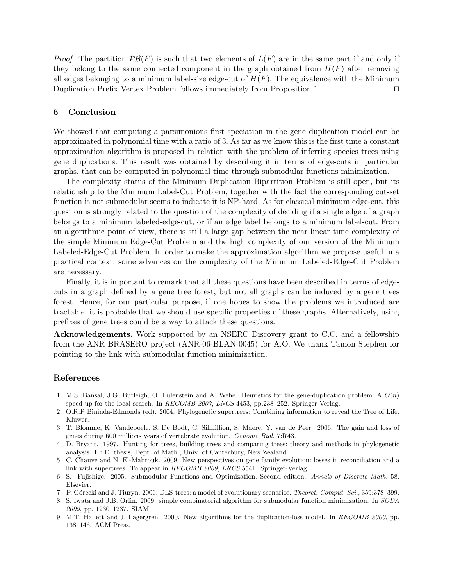*Proof.* The partition  $\mathcal{PB}(F)$  is such that two elements of  $L(F)$  are in the same part if and only if they belong to the same connected component in the graph obtained from  $H(F)$  after removing all edges belonging to a minimum label-size edge-cut of  $H(F)$ . The equivalence with the Minimum Duplication Prefix Vertex Problem follows immediately from Proposition 1.  $\Box$ 

## 6 Conclusion

We showed that computing a parsimonious first speciation in the gene duplication model can be approximated in polynomial time with a ratio of 3. As far as we know this is the first time a constant approximation algorithm is proposed in relation with the problem of inferring species trees using gene duplications. This result was obtained by describing it in terms of edge-cuts in particular graphs, that can be computed in polynomial time through submodular functions minimization.

The complexity status of the Minimum Duplication Bipartition Problem is still open, but its relationship to the Minimum Label-Cut Problem, together with the fact the corresponding cut-set function is not submodular seems to indicate it is NP-hard. As for classical minimum edge-cut, this question is strongly related to the question of the complexity of deciding if a single edge of a graph belongs to a minimum labeled-edge-cut, or if an edge label belongs to a minimum label-cut. From an algorithmic point of view, there is still a large gap between the near linear time complexity of the simple Minimum Edge-Cut Problem and the high complexity of our version of the Minimum Labeled-Edge-Cut Problem. In order to make the approximation algorithm we propose useful in a practical context, some advances on the complexity of the Minimum Labeled-Edge-Cut Problem are necessary.

Finally, it is important to remark that all these questions have been described in terms of edgecuts in a graph defined by a gene tree forest, but not all graphs can be induced by a gene trees forest. Hence, for our particular purpose, if one hopes to show the problems we introduced are tractable, it is probable that we should use specific properties of these graphs. Alternatively, using prefixes of gene trees could be a way to attack these questions.

Acknowledgements. Work supported by an NSERC Discovery grant to C.C. and a fellowship from the ANR BRASERO project (ANR-06-BLAN-0045) for A.O. We thank Tamon Stephen for pointing to the link with submodular function minimization.

# References

- 1. M.S. Bansal, J.G. Burleigh, O. Eulenstein and A. Wehe. Heuristics for the gene-duplication problem: A  $\Theta(n)$ speed-up for the local search. In RECOMB 2007, LNCS 4453, pp.238–252. Springer-Verlag.
- 2. O.R.P Bininda-Edmonds (ed). 2004. Phylogenetic supertrees: Combining information to reveal the Tree of Life. Kluwer.
- 3. T. Blomme, K. Vandepoele, S. De Bodt, C. Silmillion, S. Maere, Y. van de Peer. 2006. The gain and loss of genes during 600 millions years of vertebrate evolution. Genome Biol. 7:R43.
- 4. D. Bryant. 1997. Hunting for trees, building trees and comparing trees: theory and methods in phylogenetic analysis. Ph.D. thesis, Dept. of Math., Univ. of Canterbury, New Zealand.
- 5. C. Chauve and N. El-Mabrouk. 2009. New perspectives on gene family evolution: losses in reconciliation and a link with supertrees. To appear in RECOMB 2009, LNCS 5541. Springer-Verlag.
- 6. S. Fujishige. 2005. Submodular Functions and Optimization. Second edition. Annals of Discrete Math. 58. Elsevier.
- 7. P. G´orecki and J. Tiuryn. 2006. DLS-trees: a model of evolutionary scenarios. Theoret. Comput. Sci., 359:378–399.
- 8. S. Iwata and J.B. Orlin. 2009. simple combinatorial algorithm for submodular function minimization. In SODA 2009, pp. 1230–1237. SIAM.
- 9. M.T. Hallett and J. Lagergren. 2000. New algorithms for the duplication-loss model. In RECOMB 2000, pp. 138–146. ACM Press.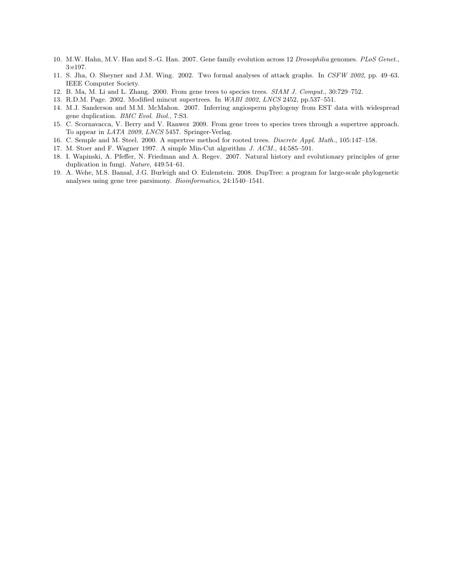- 10. M.W. Hahn, M.V. Han and S.-G. Han. 2007. Gene family evolution across 12 Drosophilia genomes. PLoS Genet., 3:e197.
- 11. S. Jha, O. Sheyner and J.M. Wing. 2002. Two formal analyses of attack graphs. In CSFW 2002, pp. 49–63. IEEE Computer Society.
- 12. B. Ma, M. Li and L. Zhang. 2000. From gene trees to species trees. SIAM J. Comput., 30:729–752.
- 13. R.D.M. Page. 2002. Modified mincut supertrees. In WABI 2002, LNCS 2452, pp.537–551.
- 14. M.J. Sanderson and M.M. McMahon. 2007. Inferring angiosperm phylogeny from EST data with widespread gene duplication. BMC Evol. Biol., 7:S3.
- 15. C. Scornavacca, V. Berry and V. Ranwez 2009. From gene trees to species trees through a supertree approach. To appear in LATA 2009, LNCS 5457. Springer-Verlag.
- 16. C. Semple and M. Steel. 2000. A supertree method for rooted trees. Discrete Appl. Math., 105:147–158.
- 17. M. Stoer and F. Wagner 1997. A simple Min-Cut algorithm J. ACM., 44:585–591.
- 18. I. Wapinski, A. Pfeffer, N. Friedman and A. Regev. 2007. Natural history and evolutionary principles of gene duplication in fungi. Nature, 449:54–61.
- 19. A. Wehe, M.S. Bansal, J.G. Burleigh and O. Eulenstein. 2008. DupTree: a program for large-scale phylogenetic analyses using gene tree parsimony. Bioinformatics, 24:1540–1541.